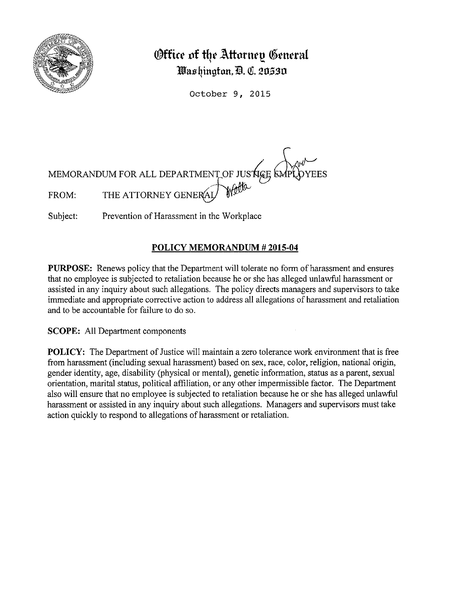

## **(Office of the Attorney General lWJasqingtun, 'ID. QI. 20,S.30**

October 9, 2015

MEMORANDUM FOR ALL DEPARTMENT OF JUSTIGE OF FROM: THE ATTORNEY GENERAL

Subject: Prevention of Harassment in the Workplace

## **POLICY MEMORANDUM# 2015-04**

**PURPOSE:** Renews policy that the Department will tolerate no form of harassment and ensures that no employee is subjected to retaliation because he or she has alleged unlawful harassment or assisted in any inquiry about such allegations. The policy directs managers and supervisors to take immediate and appropriate corrective action to address all allegations of harassment and retaliation and to be accountable for failure to do so.

**SCOPE:** All Department components

**POLICY:** The Department of Justice will maintain a zero tolerance work environment that is free from harassment (including sexual harassment) based on sex, race, color, religion, national origin, gender identity, age, disability (physical or mental), genetic information, status as a parent, sexual orientation, marital status, political affiliation, or any other impermissible factor. The Department also will ensure that no employee is subjected to retaliation because he or she has alleged unlawful harassment or assisted in any inquiry about such allegations. Managers and supervisors must take action quickly to respond to allegations of harassment or retaliation.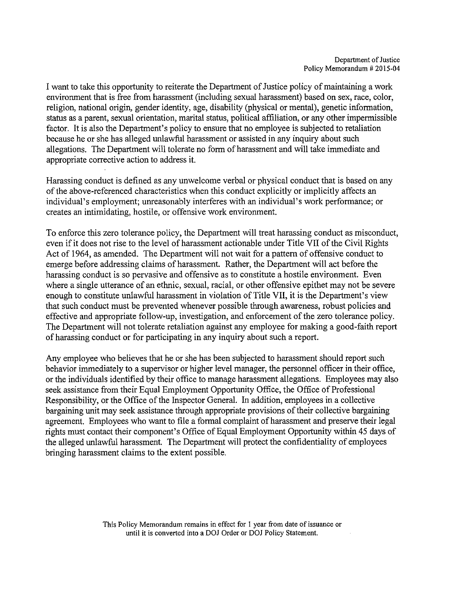I want to take this opportunity to reiterate the Department of Justice policy of maintaining a work environment that is free from harassment (including sexual harassment) based on sex, race, color, religion, national origin, gender identity, age, disability (physical or mental), genetic information, status as a parent, sexual orientation, marital status, political affiliation, or any other impermissible factor. It is also the Department's policy to ensure that no employee is subjected to retaliation because he or she has alleged unlawful harassment or assisted in any inquiry about such allegations. The Department will tolerate no form of harassment and will take immediate and appropriate corrective action to address it.

Harassing conduct is defined as any unwelcome verbal or physical conduct that is based on any of the above-referenced characteristics when this conduct explicitly or implicitly affects an individual's employment; unreasonably interferes with an individual's work performance; or creates an intimidating, hostile, or offensive work environment.

To enforce this zero tolerance policy, the Department will treat harassing conduct as misconduct, even if it does not rise to the level of harassment actionable under Title VII of the Civil Rights Act of 1964, as amended. The Department will not wait for a pattern of offensive conduct to emerge before addressing claims of harassment. Rather, the Department will act before the harassing conduct is so pervasive and offensive as to constitute a hostile environment. Even where a single utterance of an ethnic, sexual, racial, or other offensive epithet may not be severe enough to constitute unlawful harassment in violation of Title VII, it is the Department's view that such conduct must be prevented whenever possible through awareness, robust policies and effective and appropriate follow-up, investigation, and enforcement of the zero tolerance policy. The Department will not tolerate retaliation against any employee for making a good-faith report of harassing conduct or for participating in any inquiry about such a report.

Any employee who believes that he or she has been subjected to harassment should report such behavior immediately to a supervisor or higher level manager, the personnel officer in their office, or the individuals identified by their office to manage harassment allegations. Employees may also seek assistance from their Equal Employment Opportunity Office, the Office of Professional Responsibility, or the Office of the Inspector General. In addition, employees in a collective bargaining unit may seek assistance through appropriate provisions of their collective bargaining agreement. Employees who want to file a formal complaint of harassment and preserve their legal rights must contact their component's Office of Equal Employment Opportunity within 45 days of the alleged unlawful harassment. The Department will protect the confidentiality of employees bringing harassment claims to the extent possible.